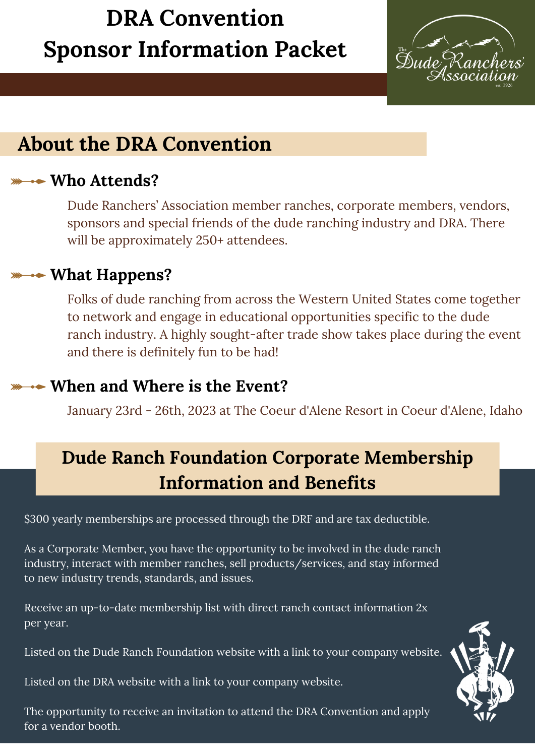# **DRA Convention Sponsor Information Packet**



# **About the DRA Convention**

### **Who Attends?**

Dude Ranchers' Association member ranches, corporate members, vendors, sponsors and special friends of the dude ranching industry and DRA. There will be approximately 250+ attendees.

### **What Happens?**

Folks of dude ranching from across the Western United States come together to network and engage in educational opportunities specific to the dude ranch industry. A highly sought-after trade show takes place during the event and there is definitely fun to be had!

## **When and Where is the Event?**

January 23rd - 26th, 2023 at The Coeur d'Alene Resort in Coeur d'Alene, Idaho

# **Dude Ranch Foundation Corporate Membership Information and Benefits**

\$300 yearly memberships are processed through the DRF and are tax deductible.

As a Corporate Member, you have the opportunity to be involved in the dude ranch industry, interact with member ranches, sell products/services, and stay informed to new industry trends, standards, and issues.

Receive an up-to-date membership list with direct ranch contact information 2x per year.

Listed on the Dude Ranch Foundation website with a link to your company website.

Listed on the DRA website with a link to your company website.

The opportunity to receive an invitation to attend the DRA Convention and apply for a vendor booth.